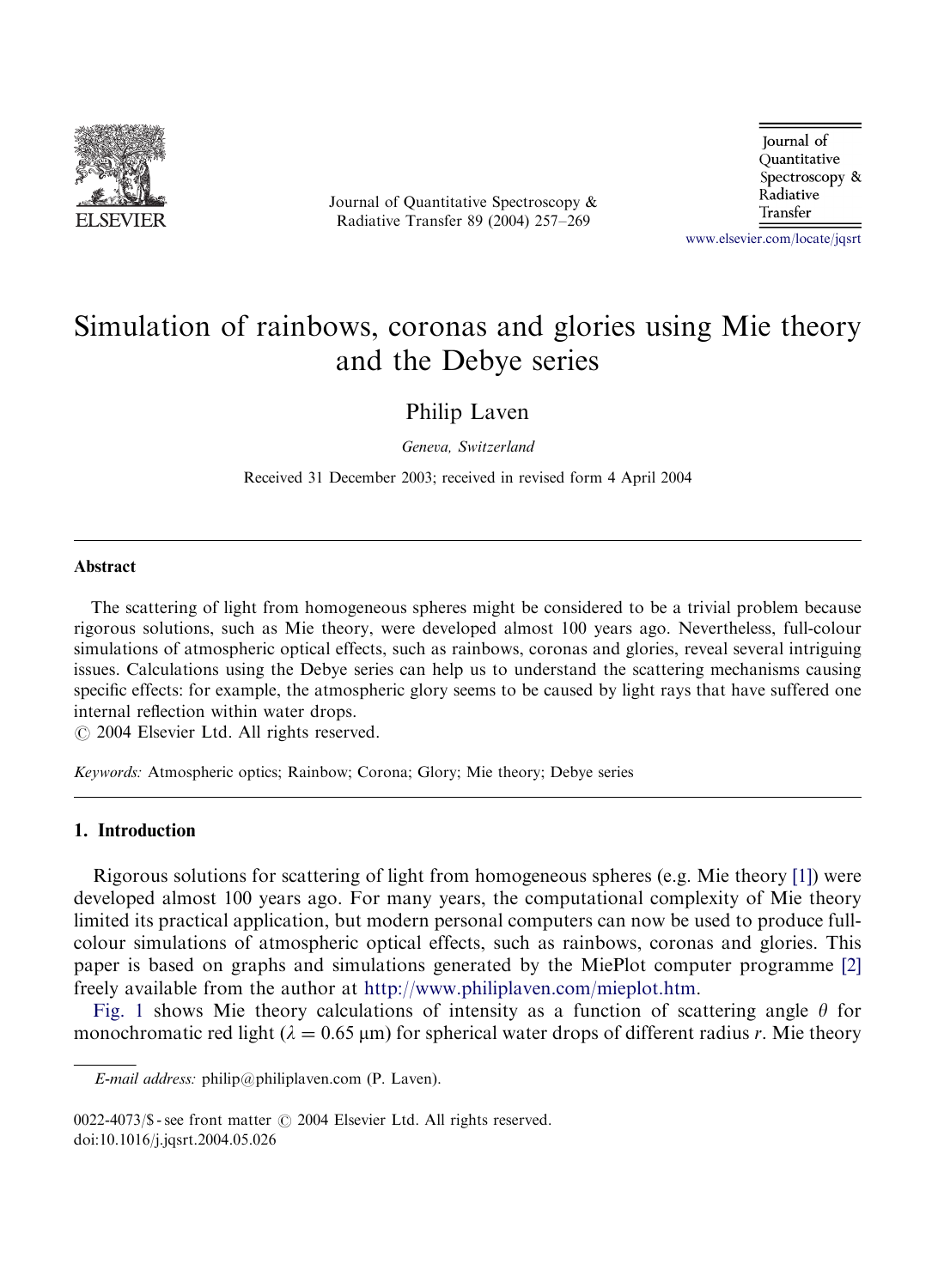

Journal of Quantitative Spectroscopy & Radiative Transfer 89 (2004) 257–269

Journal of Quantitative Spectroscopy & Radiative Transfer

<www.elsevier.com/locate/jqsrt>

# Simulation of rainbows, coronas and glories using Mie theory and the Debye series

Philip Laven

Geneva, Switzerland

Received 31 December 2003; received in revised form 4 April 2004

#### Abstract

The scattering of light from homogeneous spheres might be considered to be a trivial problem because rigorous solutions, such as Mie theory, were developed almost 100 years ago. Nevertheless, full-colour simulations of atmospheric optical effects, such as rainbows, coronas and glories, reveal several intriguing issues. Calculations using the Debye series can help us to understand the scattering mechanisms causing specific effects: for example, the atmospheric glory seems to be caused by light rays that have suffered one internal reflection within water drops.

 $\odot$  2004 Elsevier Ltd. All rights reserved.

Keywords: Atmospheric optics; Rainbow; Corona; Glory; Mie theory; Debye series

# 1. Introduction

Rigorous solutions for scattering of light from homogeneous spheres (e.g. Mie theory [\[1\]](#page-12-0)) were developed almost 100 years ago. For many years, the computational complexity of Mie theory limited its practical application, but modern personal computers can now be used to produce fullcolour simulations of atmospheric optical effects, such as rainbows, coronas and glories. This paper is based on graphs and simulations generated by the MiePlot computer programme [\[2\]](#page-12-0) freely available from the author at <http://www.philiplaven.com/mieplot.htm>.

[Fig. 1](#page-1-0) shows Mie theory calculations of intensity as a function of scattering angle  $\theta$  for monochromatic red light  $(\lambda = 0.65 \,\mu\text{m})$  for spherical water drops of different radius r. Mie theory

E-mail address: philip@philiplaven.com (P. Laven).

 $0022-4073$ /\$ - see front matter  $\odot$  2004 Elsevier Ltd. All rights reserved. doi:10.1016/j.jqsrt.2004.05.026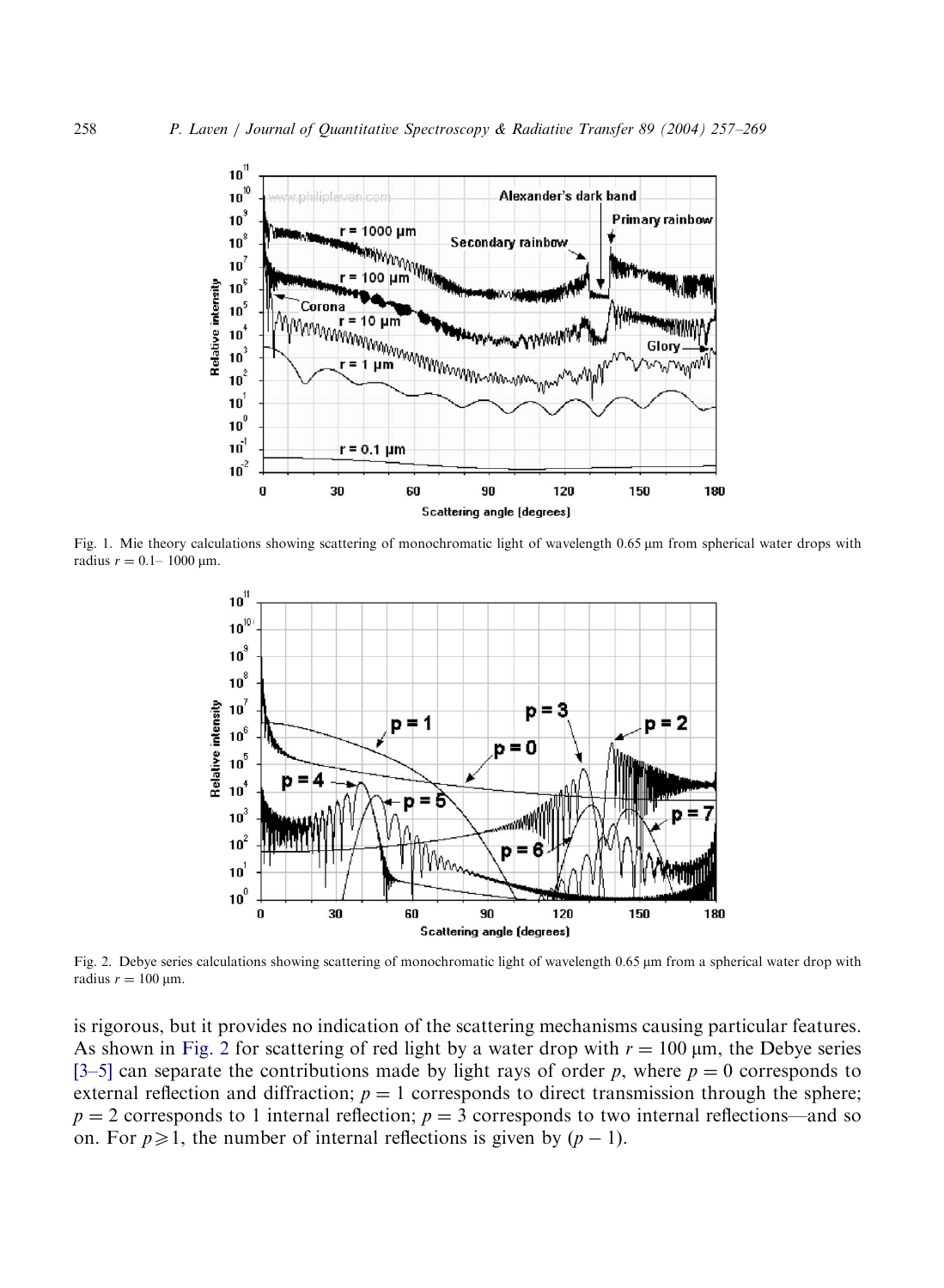<span id="page-1-0"></span>

Fig. 1. Mie theory calculations showing scattering of monochromatic light of wavelength 0.65  $\mu$ m from spherical water drops with radius  $r = 0.1 - 1000 \,\text{µm}$ .



Fig. 2. Debye series calculations showing scattering of monochromatic light of wavelength 0.65 µm from a spherical water drop with radius  $r = 100 \mu m$ .

is rigorous, but it provides no indication of the scattering mechanisms causing particular features. As shown in Fig. 2 for scattering of red light by a water drop with  $r = 100 \mu m$ , the Debye series [\[3–5\]](#page-12-0) can separate the contributions made by light rays of order p, where  $p = 0$  corresponds to external reflection and diffraction;  $p = 1$  corresponds to direct transmission through the sphere;  $p = 2$  corresponds to 1 internal reflection;  $p = 3$  corresponds to two internal reflections—and so on. For  $p \ge 1$ , the number of internal reflections is given by  $(p - 1)$ .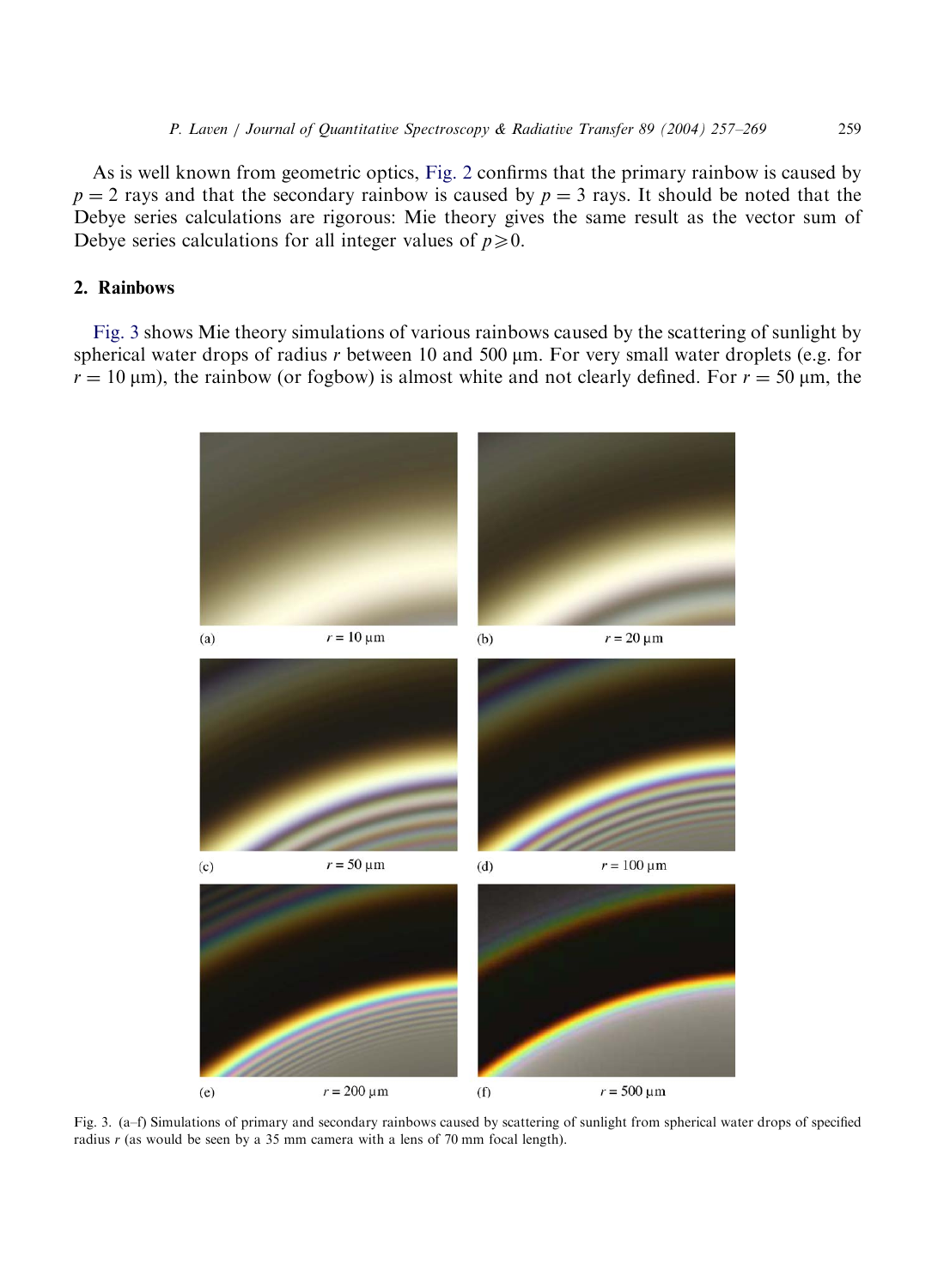As is well known from geometric optics, [Fig. 2](#page-1-0) confirms that the primary rainbow is caused by  $p = 2$  rays and that the secondary rainbow is caused by  $p = 3$  rays. It should be noted that the Debye series calculations are rigorous: Mie theory gives the same result as the vector sum of Debye series calculations for all integer values of  $p\ge 0$ .

# 2. Rainbows

Fig. 3 shows Mie theory simulations of various rainbows caused by the scattering of sunlight by spherical water drops of radius r between 10 and 500  $\mu$ m. For very small water droplets (e.g. for  $r = 10 \text{ }\mu\text{m}$ ), the rainbow (or fogbow) is almost white and not clearly defined. For  $r = 50 \text{ }\mu\text{m}$ , the



Fig. 3. (a–f) Simulations of primary and secondary rainbows caused by scattering of sunlight from spherical water drops of specified radius  $r$  (as would be seen by a 35 mm camera with a lens of 70 mm focal length).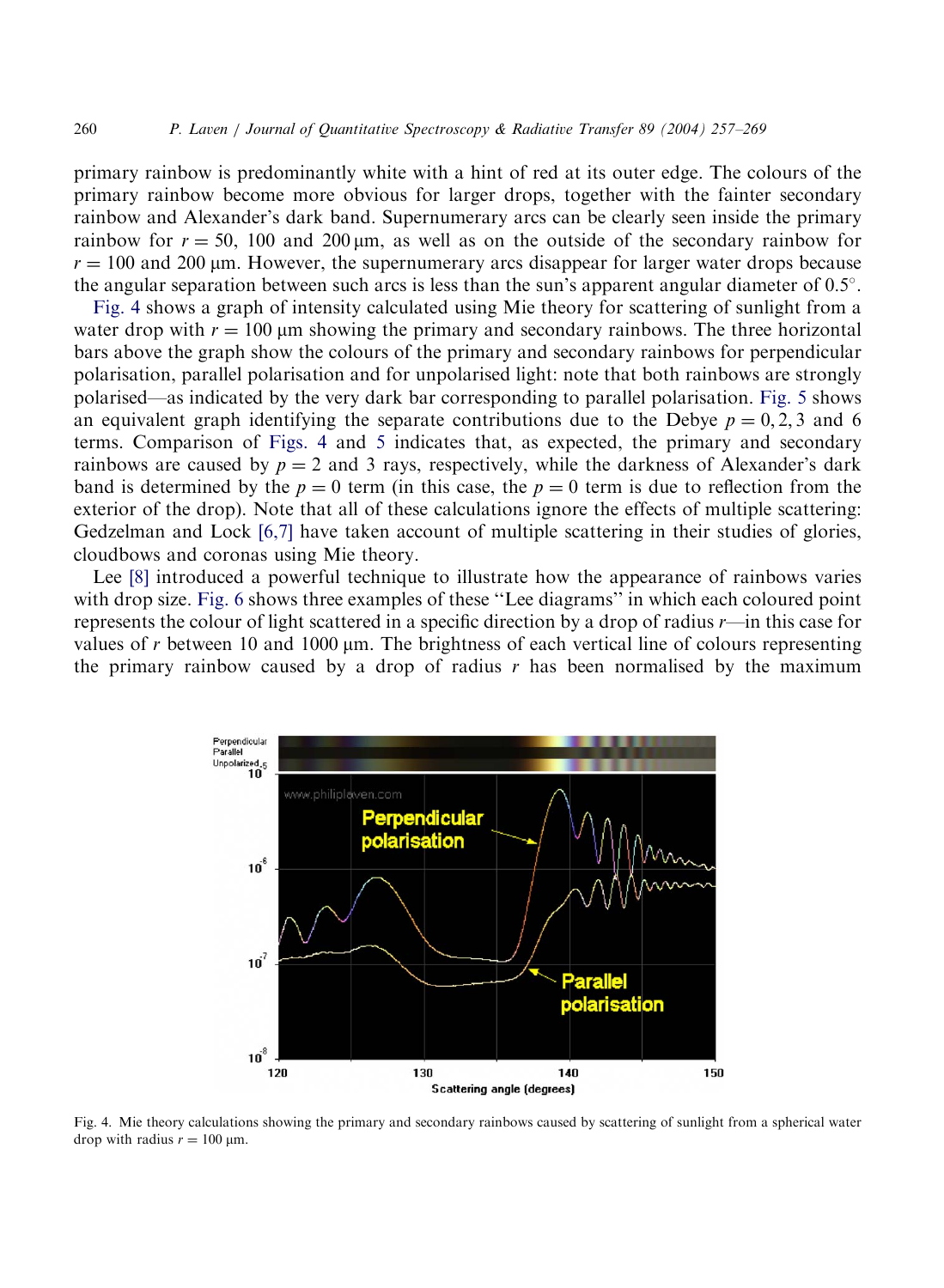primary rainbow is predominantly white with a hint of red at its outer edge. The colours of the primary rainbow become more obvious for larger drops, together with the fainter secondary rainbow and Alexander's dark band. Supernumerary arcs can be clearly seen inside the primary rainbow for  $r = 50$ , 100 and 200 km, as well as on the outside of the secondary rainbow for  $r = 100$  and 200 µm. However, the supernumerary arcs disappear for larger water drops because the angular separation between such arcs is less than the sun's apparent angular diameter of  $0.5^\circ$ .

Fig. 4 shows a graph of intensity calculated using Mie theory for scattering of sunlight from a water drop with  $r = 100 \mu m$  showing the primary and secondary rainbows. The three horizontal bars above the graph show the colours of the primary and secondary rainbows for perpendicular polarisation, parallel polarisation and for unpolarised light: note that both rainbows are strongly polarised—as indicated by the very dark bar corresponding to parallel polarisation. [Fig. 5](#page-4-0) shows an equivalent graph identifying the separate contributions due to the Debye  $p = 0, 2, 3$  and 6 terms. Comparison of Figs. 4 and [5](#page-4-0) indicates that, as expected, the primary and secondary rainbows are caused by  $p = 2$  and 3 rays, respectively, while the darkness of Alexander's dark band is determined by the  $p = 0$  term (in this case, the  $p = 0$  term is due to reflection from the exterior of the drop). Note that all of these calculations ignore the effects of multiple scattering: Gedzelman and Lock [\[6,7\]](#page-12-0) have taken account of multiple scattering in their studies of glories, cloudbows and coronas using Mie theory.

Lee [\[8\]](#page-12-0) introduced a powerful technique to illustrate how the appearance of rainbows varies with drop size. [Fig. 6](#page-4-0) shows three examples of these ''Lee diagrams'' in which each coloured point represents the colour of light scattered in a specific direction by a drop of radius r—in this case for values of r between 10 and 1000  $\mu$ m. The brightness of each vertical line of colours representing the primary rainbow caused by a drop of radius  $r$  has been normalised by the maximum



Fig. 4. Mie theory calculations showing the primary and secondary rainbows caused by scattering of sunlight from a spherical water drop with radius  $r = 100 \text{ µm}$ .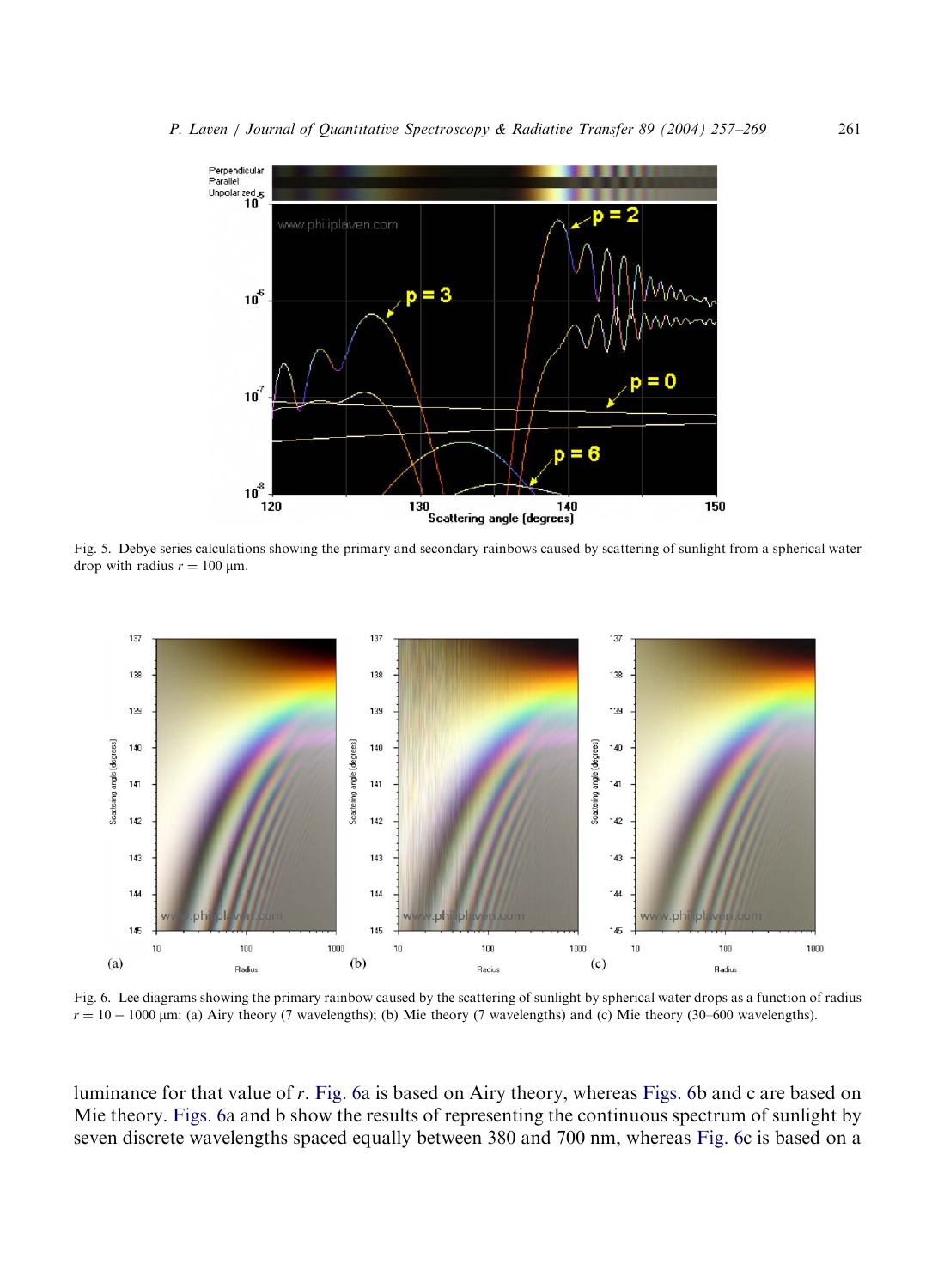<span id="page-4-0"></span>

Fig. 5. Debye series calculations showing the primary and secondary rainbows caused by scattering of sunlight from a spherical water drop with radius  $r = 100 \mu m$ .



Fig. 6. Lee diagrams showing the primary rainbow caused by the scattering of sunlight by spherical water drops as a function of radius  $r = 10 - 1000 \,\mu\text{m}$ : (a) Airy theory (7 wavelengths); (b) Mie theory (7 wavelengths) and (c) Mie theory (30–600 wavelengths).

luminance for that value of r. Fig. 6a is based on Airy theory, whereas Figs. 6b and c are based on Mie theory. Figs. 6a and b show the results of representing the continuous spectrum of sunlight by seven discrete wavelengths spaced equally between 380 and 700 nm, whereas Fig. 6c is based on a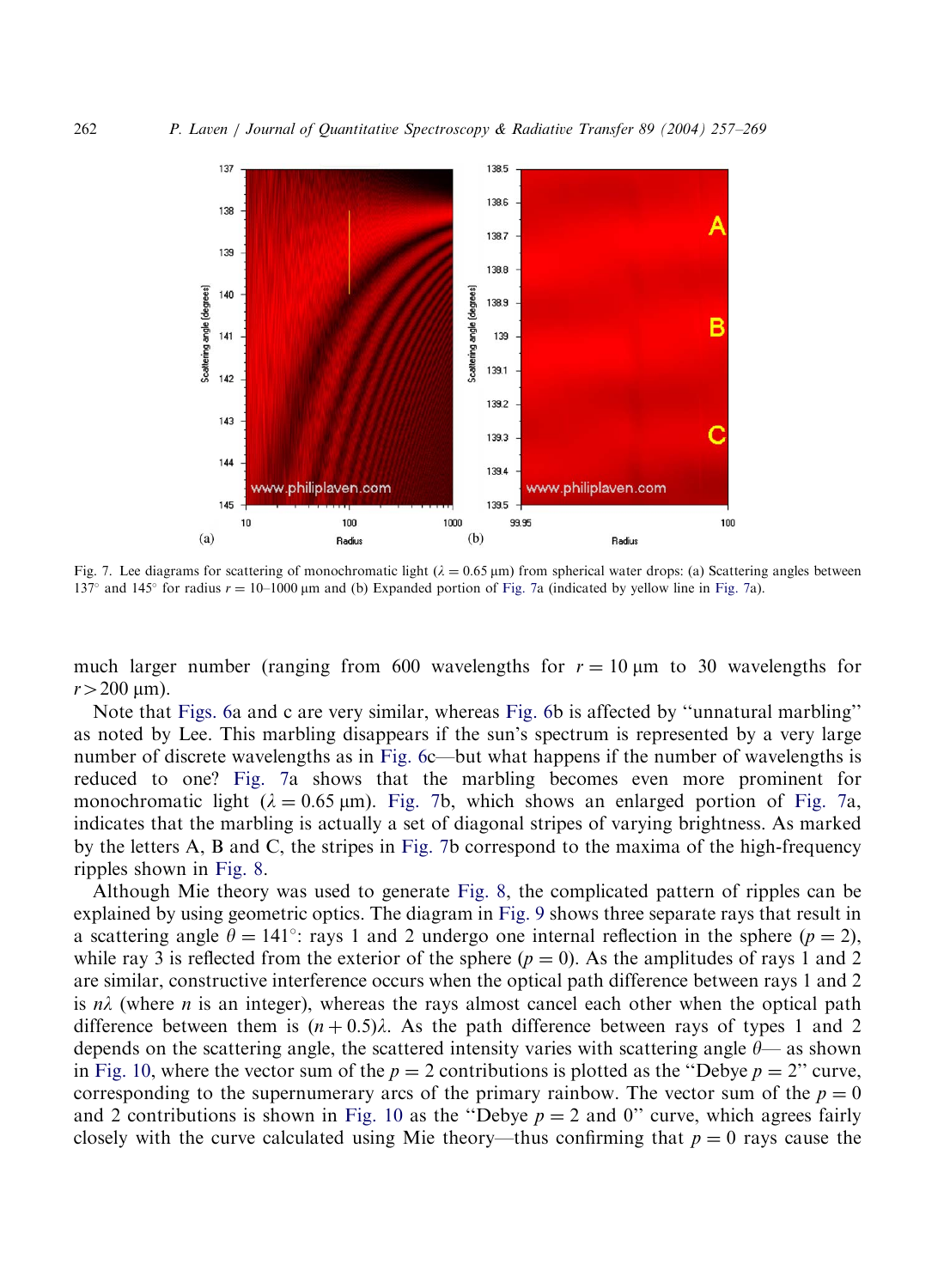<span id="page-5-0"></span>

Fig. 7. Lee diagrams for scattering of monochromatic light  $(\lambda = 0.65 \text{ \mu m})$  from spherical water drops: (a) Scattering angles between 137° and 145° for radius  $r = 10-1000 \mu m$  and (b) Expanded portion of Fig. 7a (indicated by yellow line in Fig. 7a).

much larger number (ranging from 600 wavelengths for  $r = 10 \mu m$  to 30 wavelengths for  $r > 200 \text{ }\mu\text{m}$ ).

Note that [Figs. 6](#page-4-0)a and c are very similar, whereas [Fig. 6b](#page-4-0) is affected by ''unnatural marbling'' as noted by Lee. This marbling disappears if the sun's spectrum is represented by a very large number of discrete wavelengths as in [Fig. 6c](#page-4-0)—but what happens if the number of wavelengths is reduced to one? Fig. 7a shows that the marbling becomes even more prominent for monochromatic light  $(\lambda = 0.65 \,\mu\text{m})$ . Fig. 7b, which shows an enlarged portion of Fig. 7a, indicates that the marbling is actually a set of diagonal stripes of varying brightness. As marked by the letters A, B and C, the stripes in Fig. 7b correspond to the maxima of the high-frequency ripples shown in [Fig. 8.](#page-6-0)

Although Mie theory was used to generate [Fig. 8,](#page-6-0) the complicated pattern of ripples can be explained by using geometric optics. The diagram in [Fig. 9](#page-6-0) shows three separate rays that result in a scattering angle  $\theta = 141^{\circ}$ : rays 1 and 2 undergo one internal reflection in the sphere  $(p = 2)$ , while ray 3 is reflected from the exterior of the sphere  $(p = 0)$ . As the amplitudes of rays 1 and 2 are similar, constructive interference occurs when the optical path difference between rays 1 and 2 is  $n\lambda$  (where *n* is an integer), whereas the rays almost cancel each other when the optical path difference between them is  $(n + 0.5)\lambda$ . As the path difference between rays of types 1 and 2 depends on the scattering angle, the scattered intensity varies with scattering angle  $\theta$ — as shown in [Fig. 10,](#page-7-0) where the vector sum of the  $p = 2$  contributions is plotted as the "Debye  $p = 2$ " curve, corresponding to the supernumerary arcs of the primary rainbow. The vector sum of the  $p = 0$ and 2 contributions is shown in [Fig. 10](#page-7-0) as the "Debye  $p = 2$  and 0" curve, which agrees fairly closely with the curve calculated using Mie theory—thus confirming that  $p = 0$  rays cause the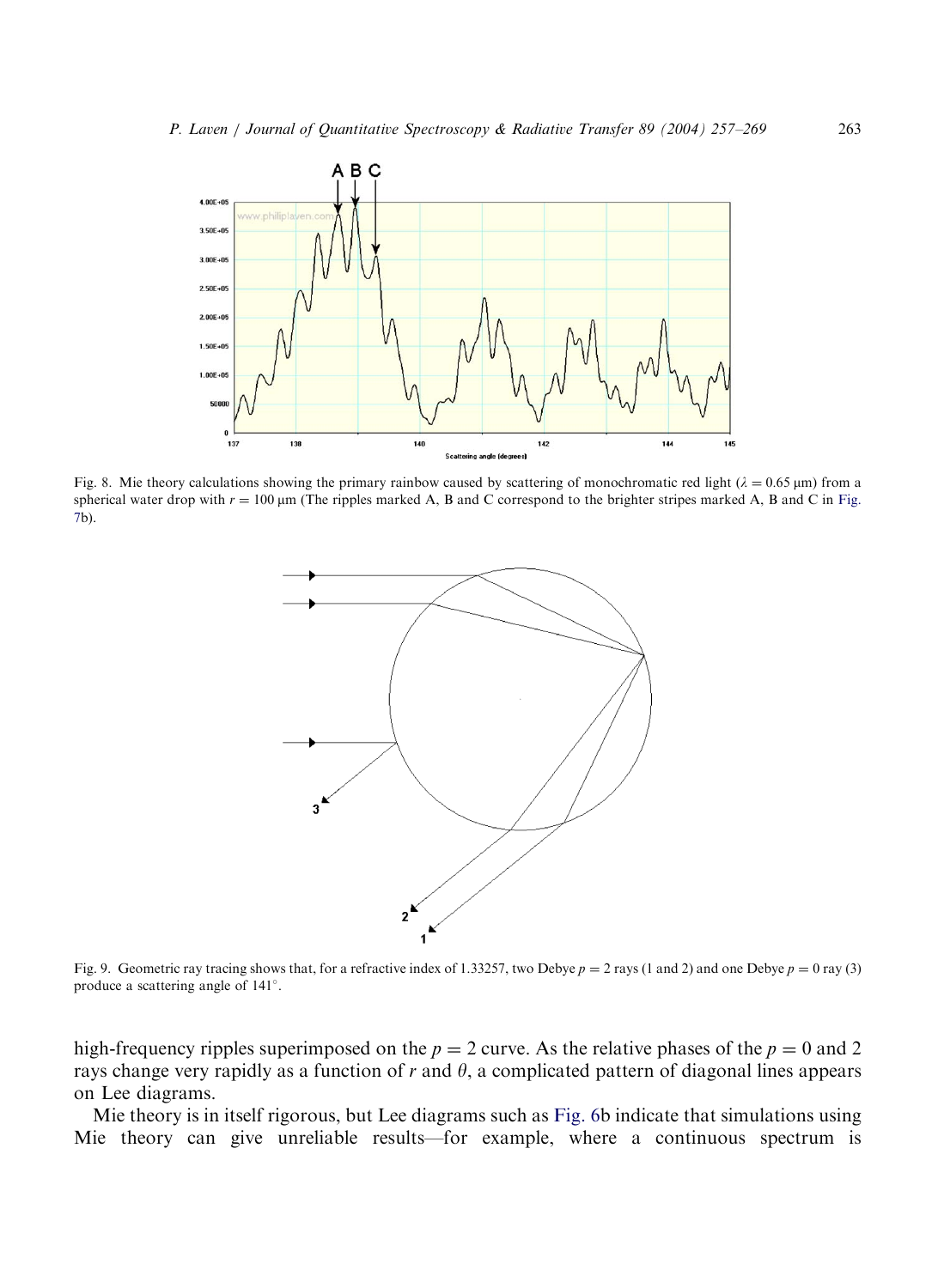<span id="page-6-0"></span>

Fig. 8. Mie theory calculations showing the primary rainbow caused by scattering of monochromatic red light  $(\lambda = 0.65 \,\mu m)$  from a spherical water drop with  $r = 100 \mu m$  (The ripples marked A, B and C correspond to the brighter stripes marked A, B and C in [Fig.](#page-5-0) [7](#page-5-0)b).



Fig. 9. Geometric ray tracing shows that, for a refractive index of 1.33257, two Debye  $p = 2$  rays (1 and 2) and one Debye  $p = 0$  ray (3) produce a scattering angle of 141 .

high-frequency ripples superimposed on the  $p = 2$  curve. As the relative phases of the  $p = 0$  and 2 rays change very rapidly as a function of  $r$  and  $\theta$ , a complicated pattern of diagonal lines appears on Lee diagrams.

Mie theory is in itself rigorous, but Lee diagrams such as [Fig. 6](#page-4-0)b indicate that simulations using Mie theory can give unreliable results—for example, where a continuous spectrum is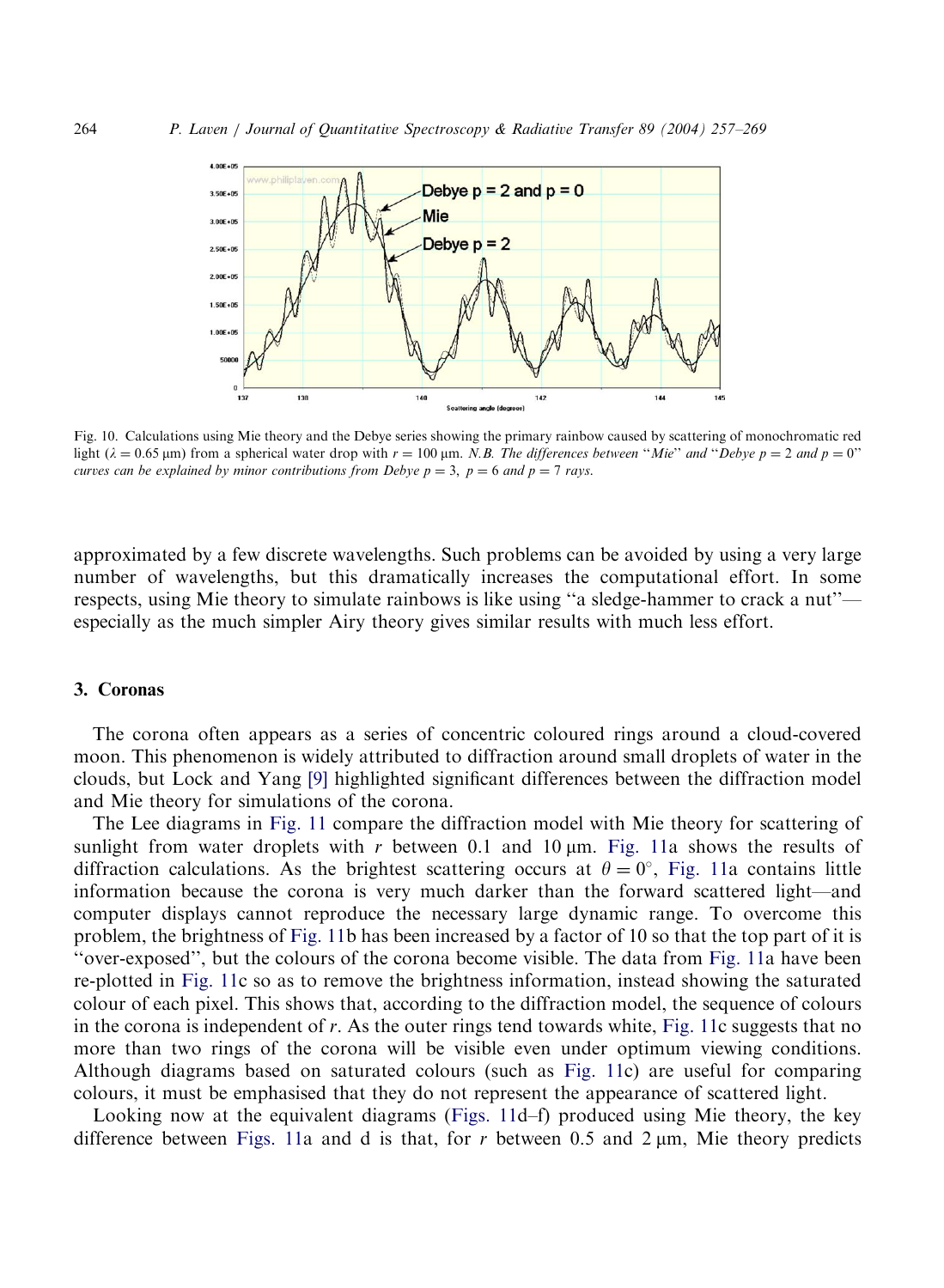<span id="page-7-0"></span>

Fig. 10. Calculations using Mie theory and the Debye series showing the primary rainbow caused by scattering of monochromatic red light  $(\lambda = 0.65 \text{ }\mu\text{m})$  from a spherical water drop with  $r = 100 \text{ }\mu\text{m}$ . N.B. The differences between "Mie" and "Debye  $p = 2$  and  $p = 0$ " curves can be explained by minor contributions from Debye  $p = 3$ ,  $p = 6$  and  $p = 7$  rays.

approximated by a few discrete wavelengths. Such problems can be avoided by using a very large number of wavelengths, but this dramatically increases the computational effort. In some respects, using Mie theory to simulate rainbows is like using ''a sledge-hammer to crack a nut'' especially as the much simpler Airy theory gives similar results with much less effort.

#### 3. Coronas

The corona often appears as a series of concentric coloured rings around a cloud-covered moon. This phenomenon is widely attributed to diffraction around small droplets of water in the clouds, but Lock and Yang [\[9\]](#page-12-0) highlighted significant differences between the diffraction model and Mie theory for simulations of the corona.

The Lee diagrams in [Fig. 11](#page-8-0) compare the diffraction model with Mie theory for scattering of sunlight from water droplets with r between 0.1 and 10  $\mu$ m. [Fig. 11a](#page-8-0) shows the results of diffraction calculations. As the brightest scattering occurs at  $\theta = 0^{\circ}$ , [Fig. 11](#page-8-0)a contains little information because the corona is very much darker than the forward scattered light—and computer displays cannot reproduce the necessary large dynamic range. To overcome this problem, the brightness of [Fig. 11b](#page-8-0) has been increased by a factor of 10 so that the top part of it is ''over-exposed'', but the colours of the corona become visible. The data from [Fig. 11](#page-8-0)a have been re-plotted in [Fig. 11c](#page-8-0) so as to remove the brightness information, instead showing the saturated colour of each pixel. This shows that, according to the diffraction model, the sequence of colours in the corona is independent of  $r$ . As the outer rings tend towards white, [Fig. 11](#page-8-0)c suggests that no more than two rings of the corona will be visible even under optimum viewing conditions. Although diagrams based on saturated colours (such as [Fig. 11](#page-8-0)c) are useful for comparing colours, it must be emphasised that they do not represent the appearance of scattered light.

Looking now at the equivalent diagrams ([Figs. 11](#page-8-0)d–f) produced using Mie theory, the key difference between [Figs. 11a](#page-8-0) and d is that, for r between 0.5 and 2  $\mu$ m, Mie theory predicts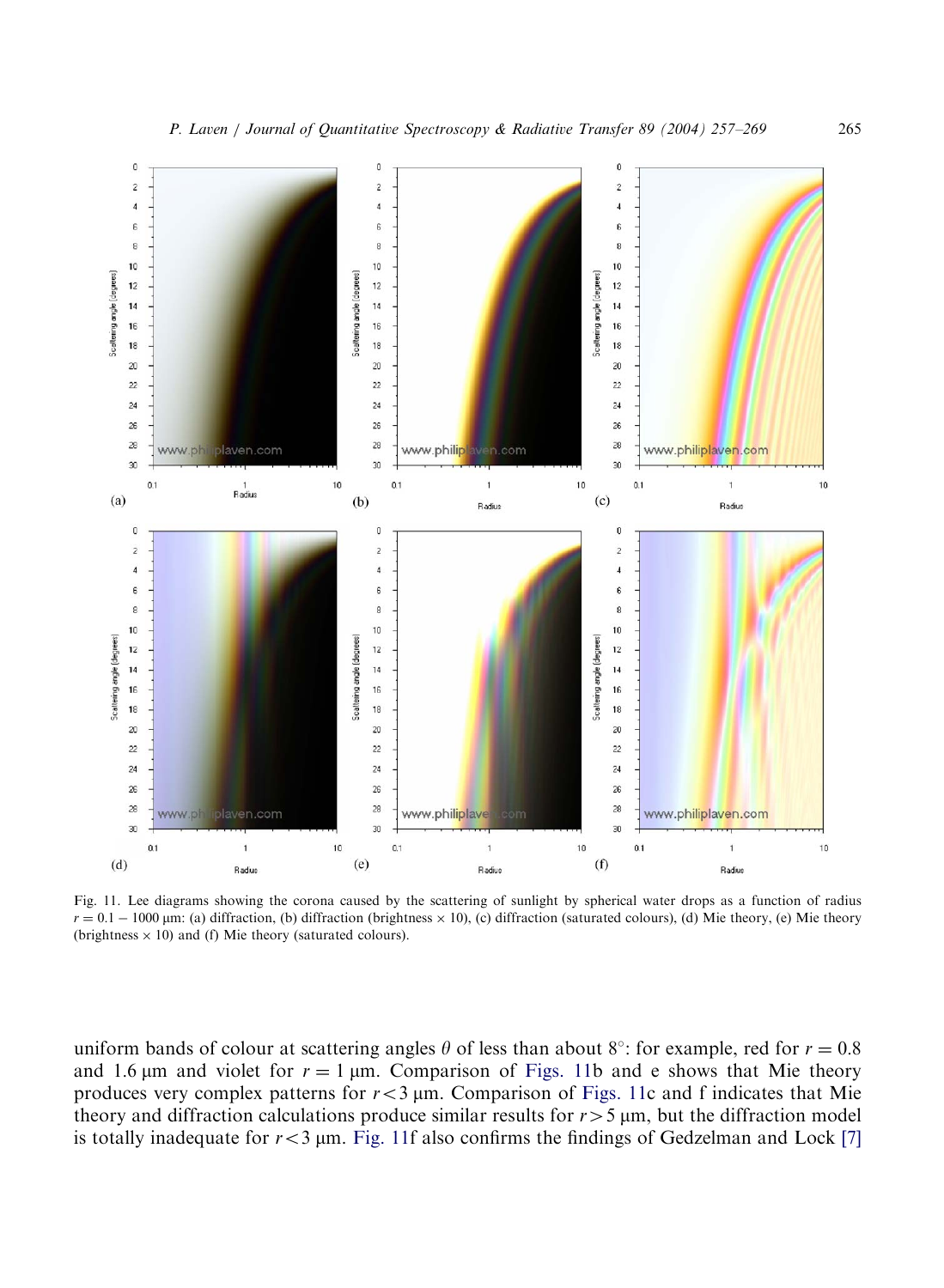<span id="page-8-0"></span>

Fig. 11. Lee diagrams showing the corona caused by the scattering of sunlight by spherical water drops as a function of radius  $r = 0.1 - 1000 \,\mu\text{m}$ : (a) diffraction, (b) diffraction (brightness  $\times$  10), (c) diffraction (saturated colours), (d) Mie theory, (e) Mie theory (brightness  $\times$  10) and (f) Mie theory (saturated colours).

uniform bands of colour at scattering angles  $\theta$  of less than about 8°: for example, red for  $r = 0.8$ and 1.6  $\mu$ m and violet for  $r = 1 \mu$ m. Comparison of Figs. 11b and e shows that Mie theory produces very complex patterns for  $r < 3 \mu$ m. Comparison of Figs. 11c and f indicates that Mie theory and diffraction calculations produce similar results for  $r>5 \mu m$ , but the diffraction model is totally inadequate for  $r < 3$  µm. Fig. 11f also confirms the findings of Gedzelman and Lock [\[7\]](#page-12-0)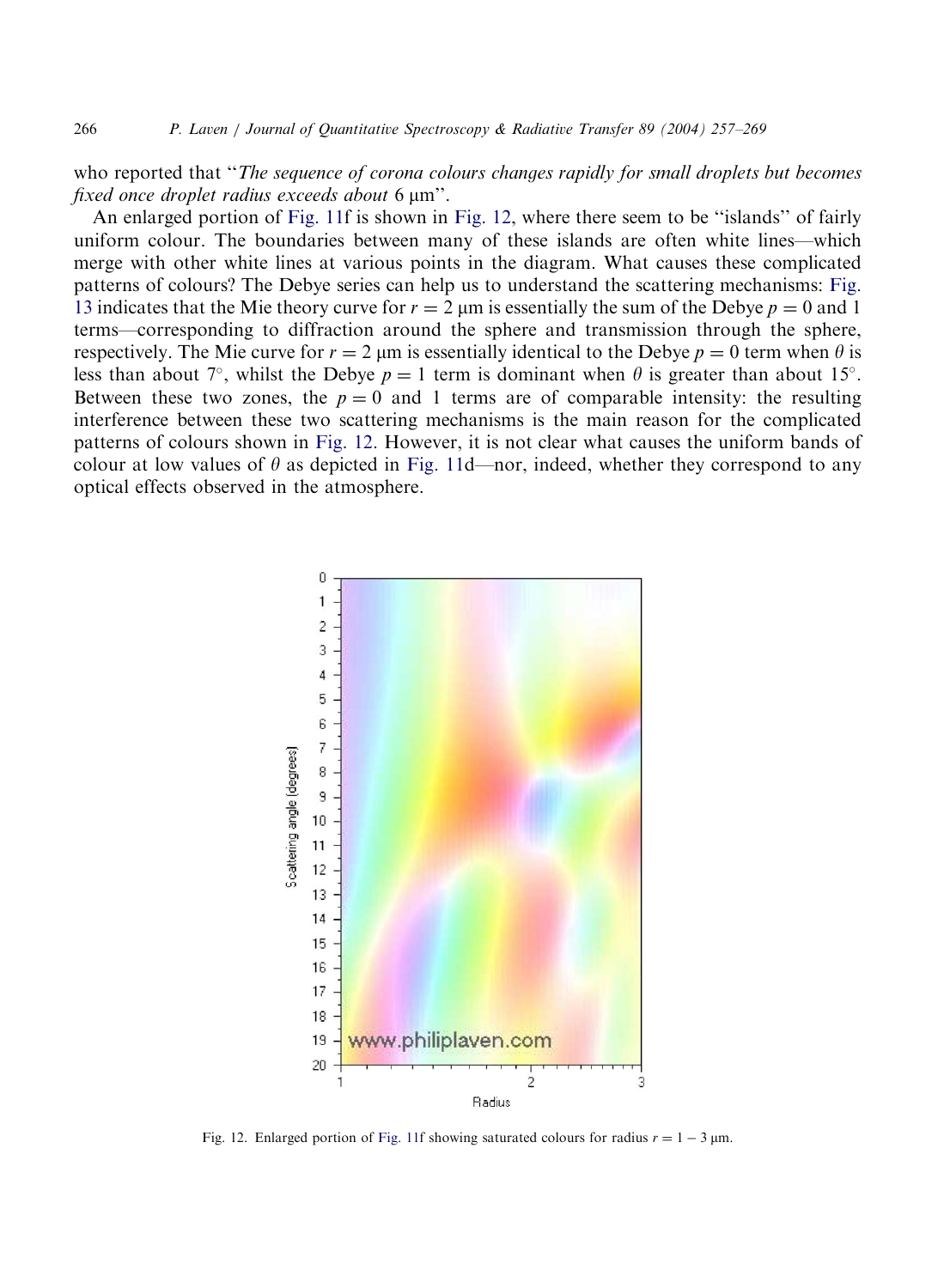<span id="page-9-0"></span>who reported that "The sequence of corona colours changes rapidly for small droplets but becomes fixed once droplet radius exceeds about  $6 \mu m$ ".

An enlarged portion of [Fig. 11f](#page-8-0) is shown in Fig. 12, where there seem to be ''islands'' of fairly uniform colour. The boundaries between many of these islands are often white lines—which merge with other white lines at various points in the diagram. What causes these complicated patterns of colours? The Debye series can help us to understand the scattering mechanisms: [Fig.](#page-10-0) [13](#page-10-0) indicates that the Mie theory curve for  $r = 2 \mu m$  is essentially the sum of the Debye  $p = 0$  and 1 terms—corresponding to diffraction around the sphere and transmission through the sphere, respectively. The Mie curve for  $r = 2 \mu m$  is essentially identical to the Debye  $p = 0$  term when  $\theta$  is less than about 7°, whilst the Debye  $p = 1$  term is dominant when  $\theta$  is greater than about 15°. Between these two zones, the  $p = 0$  and 1 terms are of comparable intensity: the resulting interference between these two scattering mechanisms is the main reason for the complicated patterns of colours shown in Fig. 12. However, it is not clear what causes the uniform bands of colour at low values of  $\theta$  as depicted in [Fig. 11d](#page-8-0)—nor, indeed, whether they correspond to any optical effects observed in the atmosphere.



Fig. 12. Enlarged portion of [Fig. 11](#page-8-0)f showing saturated colours for radius  $r = 1 - 3 \mu m$ .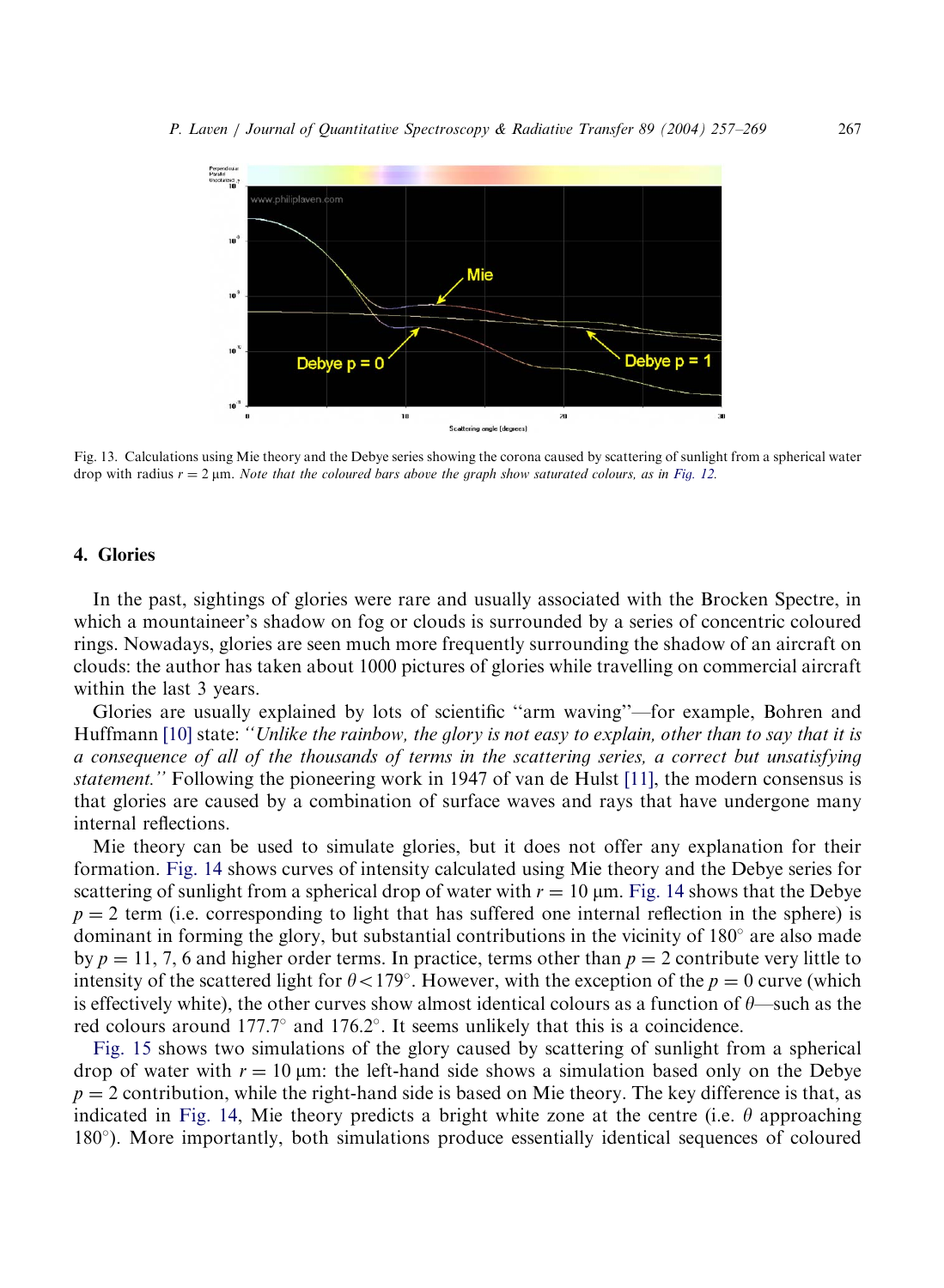<span id="page-10-0"></span>

Fig. 13. Calculations using Mie theory and the Debye series showing the corona caused by scattering of sunlight from a spherical water drop with radius  $r = 2 \mu m$ . Note that the coloured bars above the graph show saturated colours, as in [Fig. 12.](#page-9-0)

## 4. Glories

In the past, sightings of glories were rare and usually associated with the Brocken Spectre, in which a mountaineer's shadow on fog or clouds is surrounded by a series of concentric coloured rings. Nowadays, glories are seen much more frequently surrounding the shadow of an aircraft on clouds: the author has taken about 1000 pictures of glories while travelling on commercial aircraft within the last 3 years.

Glories are usually explained by lots of scientific ''arm waving''—for example, Bohren and Huffmann [\[10\]](#page-12-0) state: "Unlike the rainbow, the glory is not easy to explain, other than to say that it is a consequence of all of the thousands of terms in the scattering series, a correct but unsatisfying statement.'' Following the pioneering work in 1947 of van de Hulst [\[11\]](#page-12-0), the modern consensus is that glories are caused by a combination of surface waves and rays that have undergone many internal reflections.

Mie theory can be used to simulate glories, but it does not offer any explanation for their formation. [Fig. 14](#page-11-0) shows curves of intensity calculated using Mie theory and the Debye series for scattering of sunlight from a spherical drop of water with  $r = 10 \mu m$ . [Fig. 14](#page-11-0) shows that the Debye  $p = 2$  term (i.e. corresponding to light that has suffered one internal reflection in the sphere) is dominant in forming the glory, but substantial contributions in the vicinity of  $180^\circ$  are also made by  $p = 11, 7, 6$  and higher order terms. In practice, terms other than  $p = 2$  contribute very little to intensity of the scattered light for  $\theta < 179^\circ$ . However, with the exception of the  $p = 0$  curve (which is effectively white), the other curves show almost identical colours as a function of  $\theta$ —such as the red colours around  $177.7^{\circ}$  and  $176.2^{\circ}$ . It seems unlikely that this is a coincidence.

[Fig. 15](#page-11-0) shows two simulations of the glory caused by scattering of sunlight from a spherical drop of water with  $r = 10 \,\text{\ensuremath{\mu}}$  the left-hand side shows a simulation based only on the Debye  $p = 2$  contribution, while the right-hand side is based on Mie theory. The key difference is that, as indicated in [Fig. 14](#page-11-0), Mie theory predicts a bright white zone at the centre (i.e.  $\theta$  approaching 180 ). More importantly, both simulations produce essentially identical sequences of coloured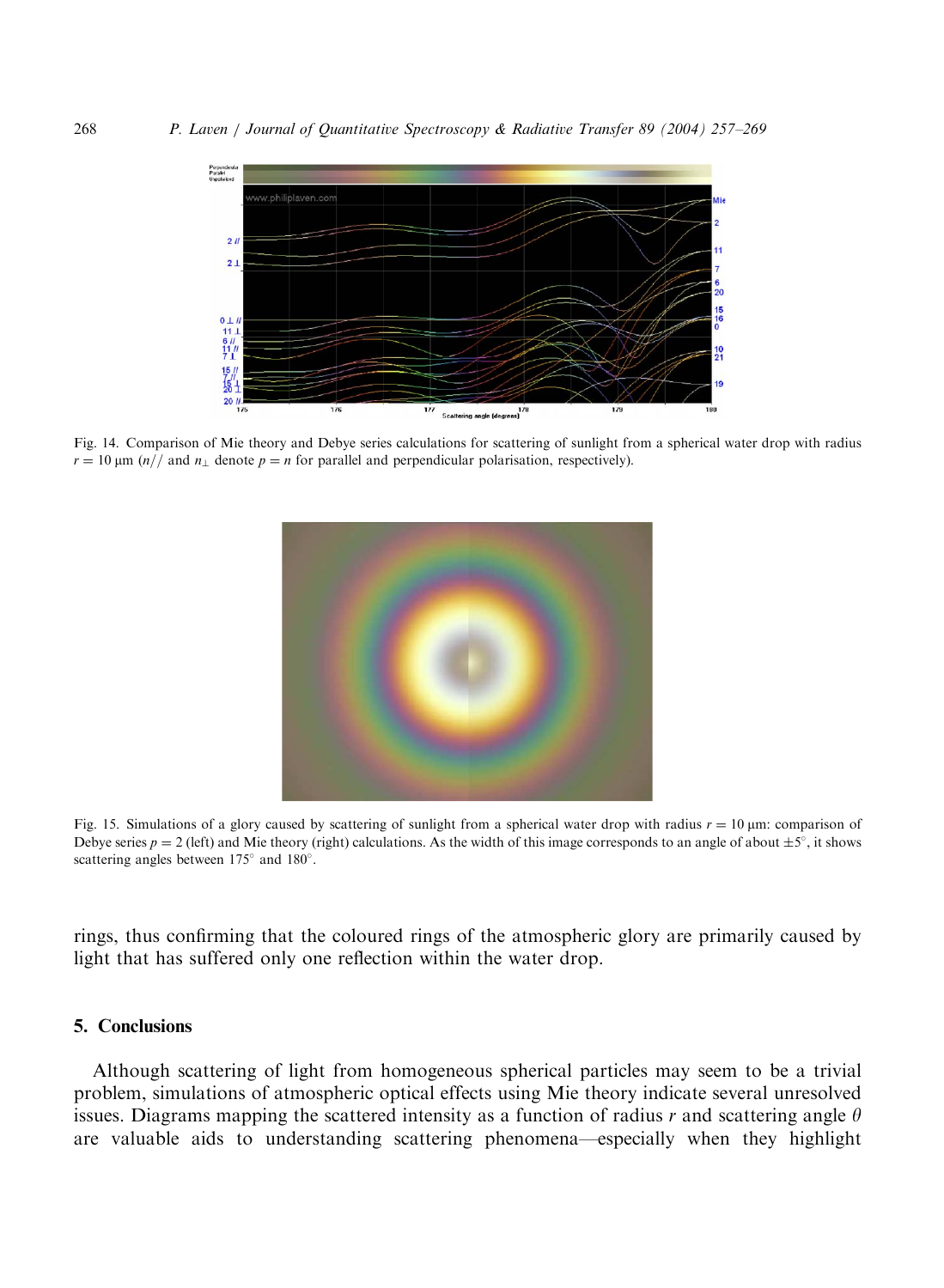<span id="page-11-0"></span>

Fig. 14. Comparison of Mie theory and Debye series calculations for scattering of sunlight from a spherical water drop with radius  $r = 10 \text{ µm}$  (n// and n<sub>1</sub> denote  $p = n$  for parallel and perpendicular polarisation, respectively).



Fig. 15. Simulations of a glory caused by scattering of sunlight from a spherical water drop with radius  $r = 10 \mu m$ : comparison of Debye series  $p = 2$  (left) and Mie theory (right) calculations. As the width of this image corresponds to an angle of about  $\pm 5^{\circ}$ , it shows scattering angles between  $175^{\circ}$  and  $180^{\circ}$ .

rings, thus confirming that the coloured rings of the atmospheric glory are primarily caused by light that has suffered only one reflection within the water drop.

#### 5. Conclusions

Although scattering of light from homogeneous spherical particles may seem to be a trivial problem, simulations of atmospheric optical effects using Mie theory indicate several unresolved issues. Diagrams mapping the scattered intensity as a function of radius r and scattering angle  $\theta$ are valuable aids to understanding scattering phenomena—especially when they highlight